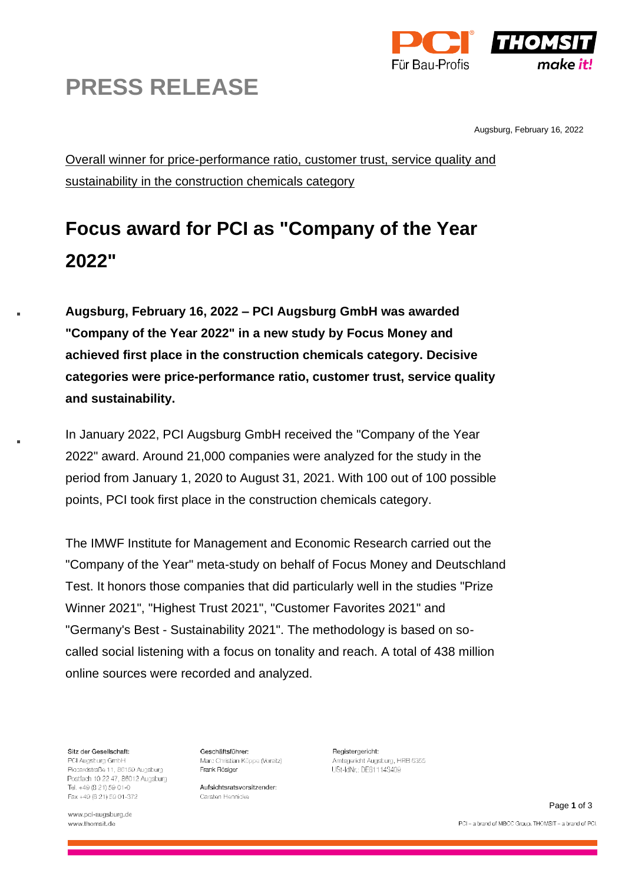



Augsburg, February 16, 2022

Overall winner for price-performance ratio, customer trust, service quality and sustainability in the construction chemicals category

## **Focus award for PCI as "Company of the Year 2022"**

**Augsburg, February 16, 2022 – PCI Augsburg GmbH was awarded "Company of the Year 2022" in a new study by Focus Money and achieved first place in the construction chemicals category. Decisive categories were price-performance ratio, customer trust, service quality and sustainability.**

In January 2022, PCI Augsburg GmbH received the "Company of the Year 2022" award. Around 21,000 companies were analyzed for the study in the period from January 1, 2020 to August 31, 2021. With 100 out of 100 possible points, PCI took first place in the construction chemicals category.

The IMWF Institute for Management and Economic Research carried out the "Company of the Year" meta-study on behalf of Focus Money and Deutschland Test. It honors those companies that did particularly well in the studies "Prize Winner 2021", "Highest Trust 2021", "Customer Favorites 2021" and "Germany's Best - Sustainability 2021". The methodology is based on socalled social listening with a focus on tonality and reach. A total of 438 million online sources were recorded and analyzed.

Sitz der Gesellschaft:

PCI Augsburg GmbH Piccardstraße 11, 86159 Augsburg Postfach 10 22 47, 86012 Augsburg Tel. +49 (8 21) 59 01-0 Fax +49 (8 21) 59 01-372

www.pci-augsburg.de www.thomsit.de

Geschäftsführer: Marc Christian Köppe (Vorsitz) Frank Rösiger

Aufsichtsratsvorsitzender: Carsten Hennicke

Registergericht: Amtsgericht Augsburg, HBB 6355 USt-IdNr.: DE811143409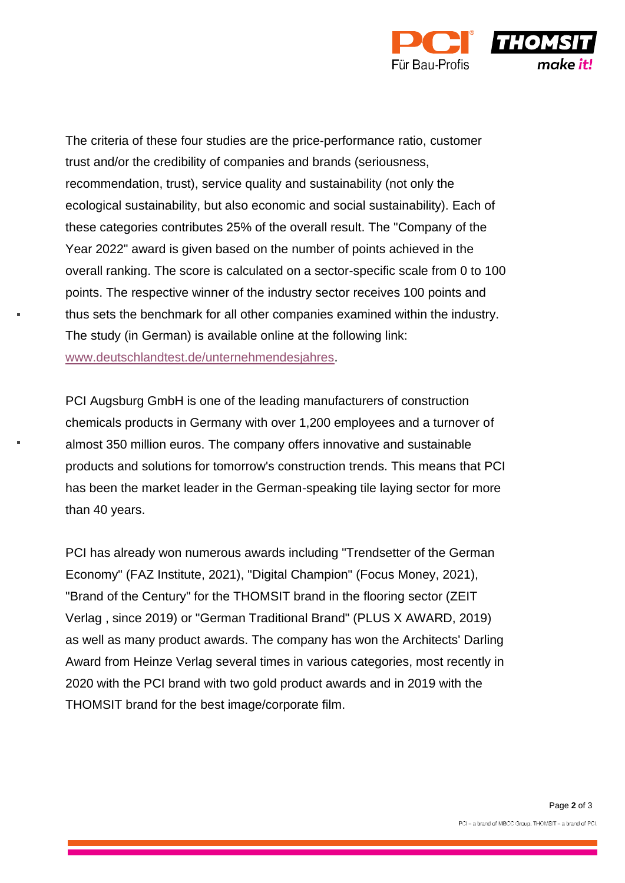

The criteria of these four studies are the price-performance ratio, customer trust and/or the credibility of companies and brands (seriousness, recommendation, trust), service quality and sustainability (not only the ecological sustainability, but also economic and social sustainability). Each of these categories contributes 25% of the overall result. The "Company of the Year 2022" award is given based on the number of points achieved in the overall ranking. The score is calculated on a sector-specific scale from 0 to 100 points. The respective winner of the industry sector receives 100 points and thus sets the benchmark for all other companies examined within the industry. The study (in German) is available online at the following link: [www.deutschlandtest.de/unternehmendesjahres.](http://www.deutschlandtest.de/unternehmendesjahres)

PCI Augsburg GmbH is one of the leading manufacturers of construction chemicals products in Germany with over 1,200 employees and a turnover of almost 350 million euros. The company offers innovative and sustainable products and solutions for tomorrow's construction trends. This means that PCI has been the market leader in the German-speaking tile laying sector for more than 40 years.

PCI has already won numerous awards including "Trendsetter of the German Economy" (FAZ Institute, 2021), "Digital Champion" (Focus Money, 2021), "Brand of the Century" for the THOMSIT brand in the flooring sector (ZEIT Verlag , since 2019) or "German Traditional Brand" (PLUS X AWARD, 2019) as well as many product awards. The company has won the Architects' Darling Award from Heinze Verlag several times in various categories, most recently in 2020 with the PCI brand with two gold product awards and in 2019 with the THOMSIT brand for the best image/corporate film.